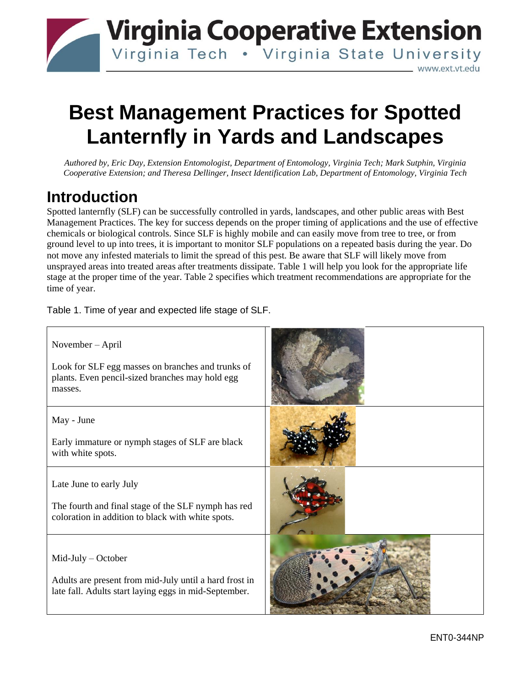## **Virginia Cooperative Extension** Virginia Tech . Virginia State University www.ext.vt.edu\_

# **Best Management Practices for Spotted Lanternfly in Yards and Landscapes**

*Authored by, Eric Day, Extension Entomologist, Department of Entomology, Virginia Tech; Mark Sutphin, Virginia Cooperative Extension; and Theresa Dellinger, Insect Identification Lab, Department of Entomology, Virginia Tech*

### **Introduction**

Spotted lanternfly (SLF) can be successfully controlled in yards, landscapes, and other public areas with Best Management Practices. The key for success depends on the proper timing of applications and the use of effective chemicals or biological controls. Since SLF is highly mobile and can easily move from tree to tree, or from ground level to up into trees, it is important to monitor SLF populations on a repeated basis during the year. Do not move any infested materials to limit the spread of this pest. Be aware that SLF will likely move from unsprayed areas into treated areas after treatments dissipate. Table 1 will help you look for the appropriate life stage at the proper time of the year. Table 2 specifies which treatment recommendations are appropriate for the time of year.

Table 1. Time of year and expected life stage of SLF.

| November – April<br>Look for SLF egg masses on branches and trunks of<br>plants. Even pencil-sized branches may hold egg<br>masses.      |  |
|------------------------------------------------------------------------------------------------------------------------------------------|--|
| May - June<br>Early immature or nymph stages of SLF are black<br>with white spots.                                                       |  |
| Late June to early July<br>The fourth and final stage of the SLF nymph has red<br>coloration in addition to black with white spots.      |  |
| $Mid$ -July – October<br>Adults are present from mid-July until a hard frost in<br>late fall. Adults start laying eggs in mid-September. |  |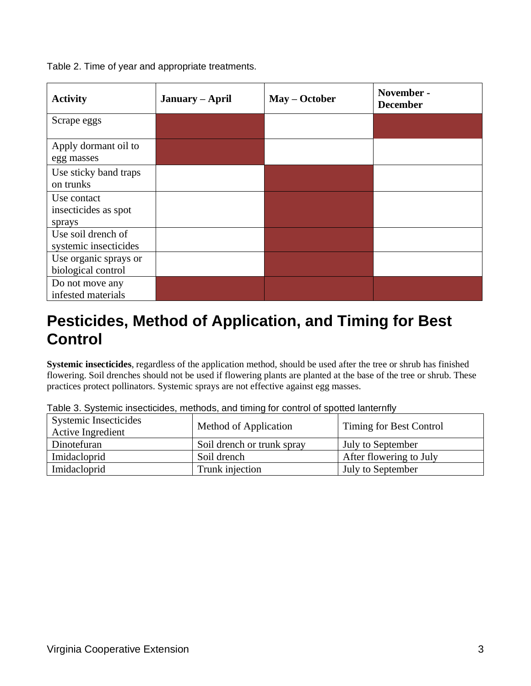Table 2. Time of year and appropriate treatments.

| <b>Activity</b>                               | January – April | May – October | November -<br><b>December</b> |
|-----------------------------------------------|-----------------|---------------|-------------------------------|
| Scrape eggs                                   |                 |               |                               |
| Apply dormant oil to<br>egg masses            |                 |               |                               |
| Use sticky band traps<br>on trunks            |                 |               |                               |
| Use contact<br>insecticides as spot<br>sprays |                 |               |                               |
| Use soil drench of<br>systemic insecticides   |                 |               |                               |
| Use organic sprays or<br>biological control   |                 |               |                               |
| Do not move any<br>infested materials         |                 |               |                               |

### **Pesticides, Method of Application, and Timing for Best Control**

**Systemic insecticides**, regardless of the application method, should be used after the tree or shrub has finished flowering. Soil drenches should not be used if flowering plants are planted at the base of the tree or shrub. These practices protect pollinators. Systemic sprays are not effective against egg masses.

| <b>Systemic Insecticides</b><br><b>Active Ingredient</b> | Method of Application      | Timing for Best Control |
|----------------------------------------------------------|----------------------------|-------------------------|
| Dinotefuran                                              | Soil drench or trunk spray | July to September       |
| Imidacloprid                                             | Soil drench                | After flowering to July |
| Imidacloprid                                             | Trunk injection            | July to September       |

Table 3. Systemic insecticides, methods, and timing for control of spotted lanternfly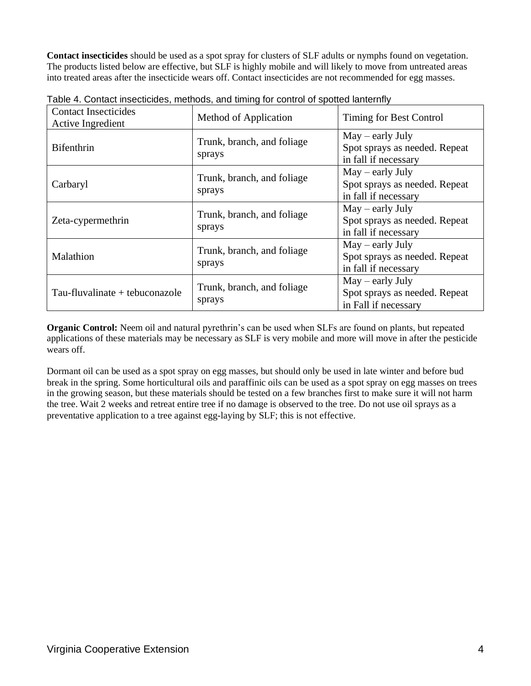**Contact insecticides** should be used as a spot spray for clusters of SLF adults or nymphs found on vegetation. The products listed below are effective, but SLF is highly mobile and will likely to move from untreated areas into treated areas after the insecticide wears off. Contact insecticides are not recommended for egg masses.

| <b>Contact Insecticides</b><br>Active Ingredient | Method of Application                | Timing for Best Control                                                     |
|--------------------------------------------------|--------------------------------------|-----------------------------------------------------------------------------|
| <b>Bifenthrin</b>                                | Trunk, branch, and foliage<br>sprays | $May - early July$<br>Spot sprays as needed. Repeat<br>in fall if necessary |
| Carbaryl                                         | Trunk, branch, and foliage<br>sprays | $May - early July$<br>Spot sprays as needed. Repeat<br>in fall if necessary |
| Zeta-cypermethrin                                | Trunk, branch, and foliage<br>sprays | $May - early July$<br>Spot sprays as needed. Repeat<br>in fall if necessary |
| Malathion                                        | Trunk, branch, and foliage<br>sprays | $May - early July$<br>Spot sprays as needed. Repeat<br>in fall if necessary |
| Tau-fluvalinate + tebuconazole                   | Trunk, branch, and foliage<br>sprays | $May - early July$<br>Spot sprays as needed. Repeat<br>in Fall if necessary |

Table 4. Contact insecticides, methods, and timing for control of spotted lanternfly

**Organic Control:** Neem oil and natural pyrethrin's can be used when SLFs are found on plants, but repeated applications of these materials may be necessary as SLF is very mobile and more will move in after the pesticide wears off.

Dormant oil can be used as a spot spray on egg masses, but should only be used in late winter and before bud break in the spring. Some horticultural oils and paraffinic oils can be used as a spot spray on egg masses on trees in the growing season, but these materials should be tested on a few branches first to make sure it will not harm the tree. Wait 2 weeks and retreat entire tree if no damage is observed to the tree. Do not use oil sprays as a preventative application to a tree against egg-laying by SLF; this is not effective.